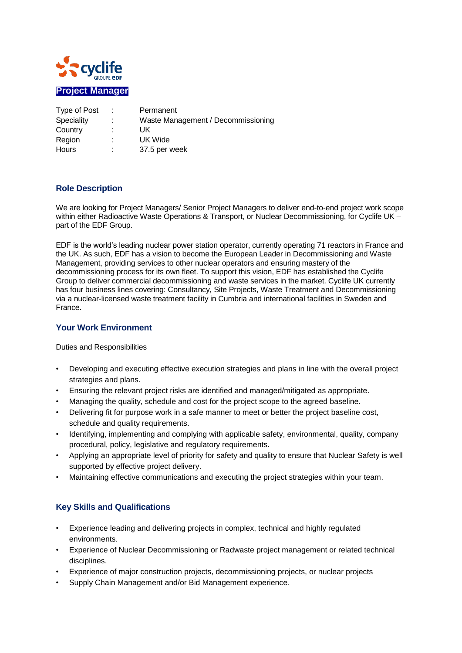

| Type of Post      | ÷ | Permanent                          |
|-------------------|---|------------------------------------|
| <b>Speciality</b> |   | Waste Management / Decommissioning |
| Country           |   | UK                                 |
| Region            | ٠ | UK Wide                            |
| <b>Hours</b>      |   | 37.5 per week                      |

## **Role Description**

We are looking for Project Managers/ Senior Project Managers to deliver end-to-end project work scope within either Radioactive Waste Operations & Transport, or Nuclear Decommissioning, for Cyclife UK part of the EDF Group.

EDF is the world's leading nuclear power station operator, currently operating 71 reactors in France and the UK. As such, EDF has a vision to become the European Leader in Decommissioning and Waste Management, providing services to other nuclear operators and ensuring mastery of the decommissioning process for its own fleet. To support this vision, EDF has established the Cyclife Group to deliver commercial decommissioning and waste services in the market. Cyclife UK currently has four business lines covering: Consultancy, Site Projects, Waste Treatment and Decommissioning via a nuclear-licensed waste treatment facility in Cumbria and international facilities in Sweden and France.

## **Your Work Environment**

Duties and Responsibilities

- Developing and executing effective execution strategies and plans in line with the overall project strategies and plans.
- Ensuring the relevant project risks are identified and managed/mitigated as appropriate.
- Managing the quality, schedule and cost for the project scope to the agreed baseline.
- Delivering fit for purpose work in a safe manner to meet or better the project baseline cost. schedule and quality requirements.
- Identifying, implementing and complying with applicable safety, environmental, quality, company procedural, policy, legislative and regulatory requirements.
- Applying an appropriate level of priority for safety and quality to ensure that Nuclear Safety is well supported by effective project delivery.
- Maintaining effective communications and executing the project strategies within your team.

## **Key Skills and Qualifications**

- Experience leading and delivering projects in complex, technical and highly regulated environments.
- Experience of Nuclear Decommissioning or Radwaste project management or related technical disciplines.
- Experience of major construction projects, decommissioning projects, or nuclear projects
- Supply Chain Management and/or Bid Management experience.